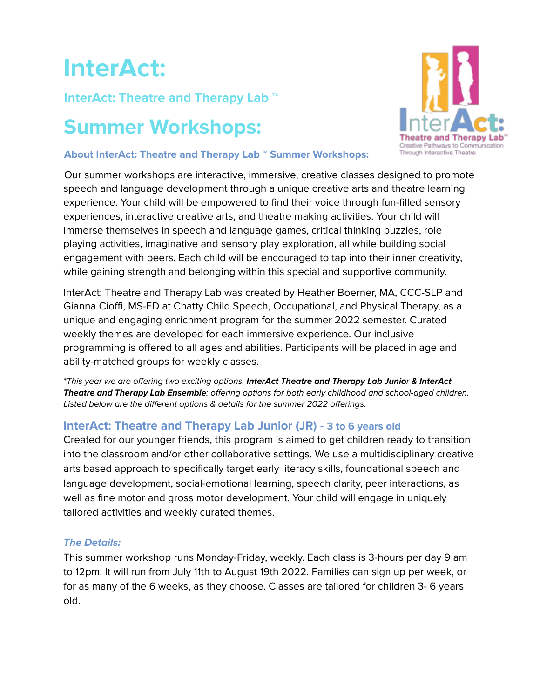# **InterAct:**

# **InterAct: Theatre and Therapy Lab ™**

# **Summer Workshops:**



#### **About InterAct: Theatre and Therapy Lab ™ Summer Workshops:**

Our summer workshops are interactive, immersive, creative classes designed to promote speech and language development through a unique creative arts and theatre learning experience. Your child will be empowered to find their voice through fun-filled sensory experiences, interactive creative arts, and theatre making activities. Your child will immerse themselves in speech and language games, critical thinking puzzles, role playing activities, imaginative and sensory play exploration, all while building social engagement with peers. Each child will be encouraged to tap into their inner creativity, while gaining strength and belonging within this special and supportive community.

InterAct: Theatre and Therapy Lab was created by Heather Boerner, MA, CCC-SLP and Gianna Cioffi, MS-ED at Chatty Child Speech, Occupational, and Physical Therapy, as a unique and engaging enrichment program for the summer 2022 semester. Curated weekly themes are developed for each immersive experience. Our inclusive programming is offered to all ages and abilities. Participants will be placed in age and ability-matched groups for weekly classes.

\*This year we are offering two exciting options. **InterAct Theatre and Therapy Lab Junio**r **& InterAct Theatre and Therapy Lab Ensemble**; offering options for both early childhood and school-aged children. Listed below are the different options & details for the summer 2022 offerings.

# **InterAct: Theatre and Therapy Lab Junior (JR) - 3 to 6 years old**

Created for our younger friends, this program is aimed to get children ready to transition into the classroom and/or other collaborative settings. We use a multidisciplinary creative arts based approach to specifically target early literacy skills, foundational speech and language development, social-emotional learning, speech clarity, peer interactions, as well as fine motor and gross motor development. Your child will engage in uniquely tailored activities and weekly curated themes.

# **The Details:**

This summer workshop runs Monday-Friday, weekly. Each class is 3-hours per day 9 am to 12pm. It will run from July 11th to August 19th 2022. Families can sign up per week, or for as many of the 6 weeks, as they choose. Classes are tailored for children 3- 6 years old.